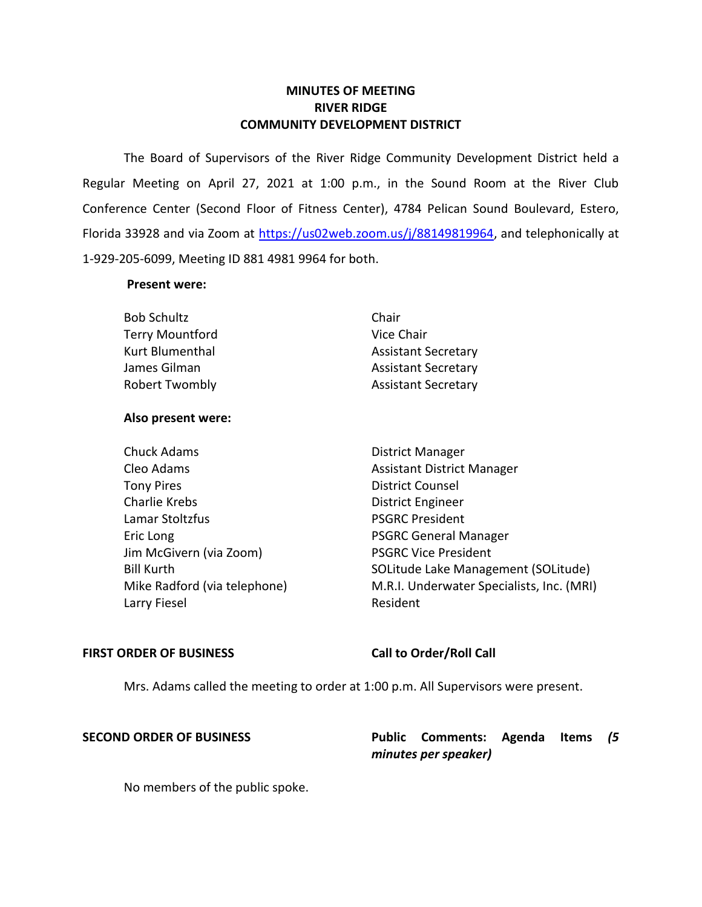# **MINUTES OF MEETING RIVER RIDGE COMMUNITY DEVELOPMENT DISTRICT**

 The Board of Supervisors of the River Ridge Community Development District held a Regular Meeting on April 27, 2021 at 1:00 p.m., in the Sound Room at the River Club Conference Center (Second Floor of Fitness Center), 4784 Pelican Sound Boulevard, Estero, Florida 33928 and via Zoom at [https://us02web.zoom.us/j/88149819964,](https://us02web.zoom.us/j/88149819964) and telephonically at 1-929-205-6099, Meeting ID 881 4981 9964 for both.

## **Present were:**

| <b>Bob Schultz</b>     | Chair                      |
|------------------------|----------------------------|
| <b>Terry Mountford</b> | Vice Chair                 |
| Kurt Blumenthal        | <b>Assistant Secretary</b> |
| James Gilman           | <b>Assistant Secretary</b> |
| <b>Robert Twombly</b>  | <b>Assistant Secretary</b> |

# **Also present were:**

Eric Long **PSGRC** General Manager Chuck Adams **District Manager** Cleo Adams **Assistant District Manager** Assistant District Manager Tony Pires **District Counsel** Charlie Krebs **District Engineer** Lamar Stoltzfus **PSGRC President** Jim McGivern (via Zoom) PSGRC Vice President Larry Fiesel **Resident** 

Bill Kurth SOLitude Lake Management (SOLitude) Mike Radford (via telephone) M.R.I. Underwater Specialists, Inc. (MRI)

# FIRST ORDER OF BUSINESS Call to Order/Roll Call

Mrs. Adams called the meeting to order at 1:00 p.m. All Supervisors were present.

 **SECOND ORDER OF BUSINESS Public Comments: Agenda Items** *(5 minutes per speaker)* 

No members of the public spoke.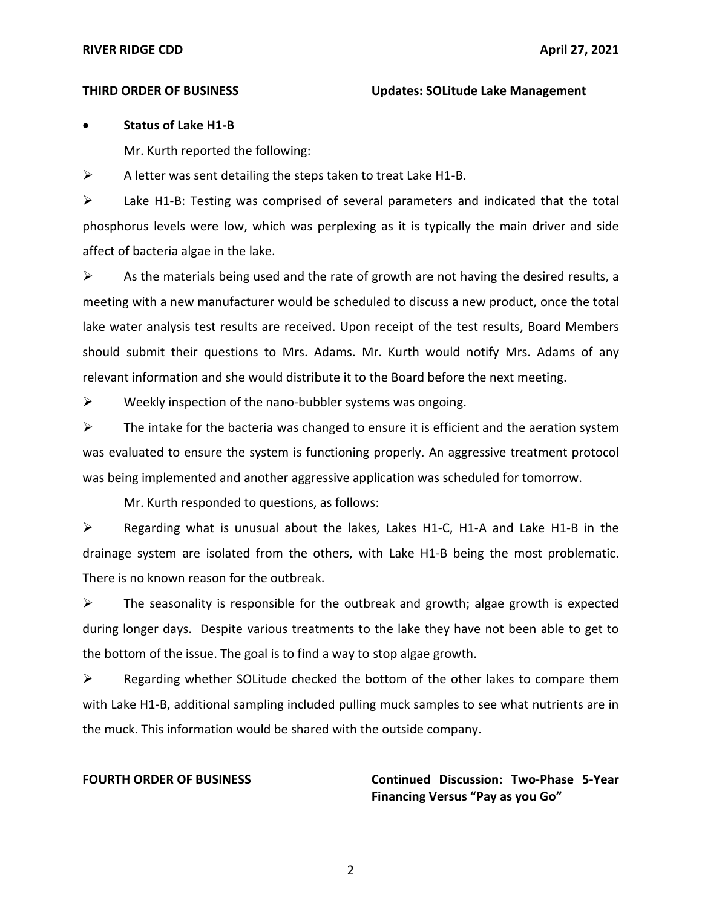# • **Status of Lake H1-B**

Mr. Kurth reported the following:

 $\triangleright$  A letter was sent detailing the steps taken to treat Lake H1-B.

 ➢ Lake H1-B: Testing was comprised of several parameters and indicated that the total phosphorus levels were low, which was perplexing as it is typically the main driver and side affect of bacteria algae in the lake.

 $\triangleright$  As the materials being used and the rate of growth are not having the desired results, a meeting with a new manufacturer would be scheduled to discuss a new product, once the total lake water analysis test results are received. Upon receipt of the test results, Board Members should submit their questions to Mrs. Adams. Mr. Kurth would notify Mrs. Adams of any relevant information and she would distribute it to the Board before the next meeting.

 $\triangleright$  Weekly inspection of the nano-bubbler systems was ongoing.

 $\triangleright$  The intake for the bacteria was changed to ensure it is efficient and the aeration system was evaluated to ensure the system is functioning properly. An aggressive treatment protocol was being implemented and another aggressive application was scheduled for tomorrow.

Mr. Kurth responded to questions, as follows:

 ➢ Regarding what is unusual about the lakes, Lakes H1-C, H1-A and Lake H1-B in the drainage system are isolated from the others, with Lake H1-B being the most problematic. There is no known reason for the outbreak.

 $\triangleright$  The seasonality is responsible for the outbreak and growth; algae growth is expected during longer days. Despite various treatments to the lake they have not been able to get to the bottom of the issue. The goal is to find a way to stop algae growth.

 with Lake H1-B, additional sampling included pulling muck samples to see what nutrients are in the muck. This information would be shared with the outside company. ➢ Regarding whether SOLitude checked the bottom of the other lakes to compare them

 **Financing Versus "Pay as you Go" FOURTH ORDER OF BUSINESS Continued Discussion: Two-Phase 5-Year**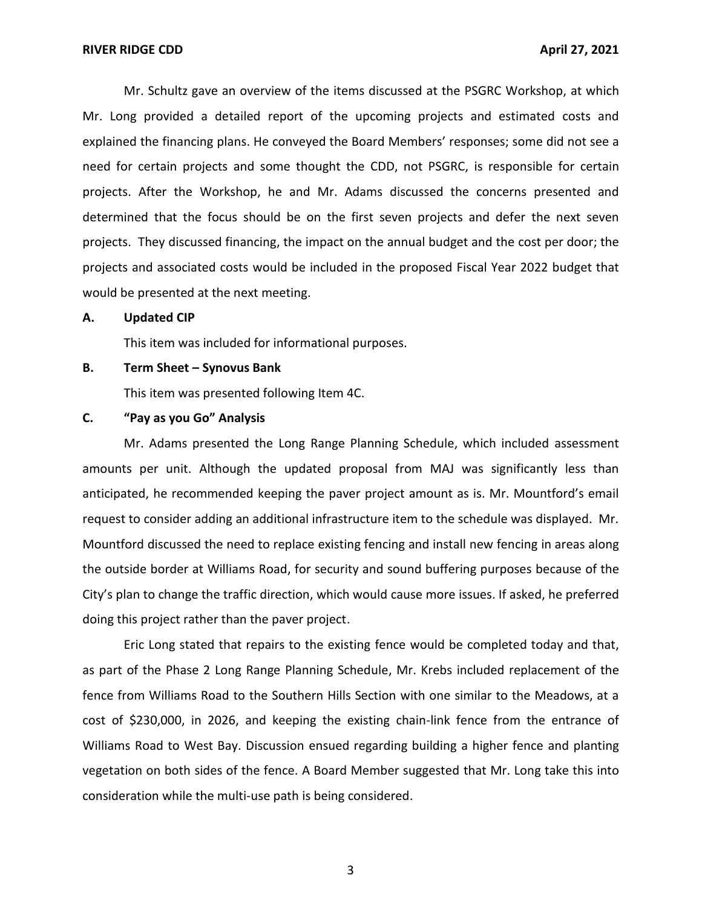Mr. Schultz gave an overview of the items discussed at the PSGRC Workshop, at which Mr. Long provided a detailed report of the upcoming projects and estimated costs and explained the financing plans. He conveyed the Board Members' responses; some did not see a need for certain projects and some thought the CDD, not PSGRC, is responsible for certain projects. After the Workshop, he and Mr. Adams discussed the concerns presented and determined that the focus should be on the first seven projects and defer the next seven projects. They discussed financing, the impact on the annual budget and the cost per door; the projects and associated costs would be included in the proposed Fiscal Year 2022 budget that would be presented at the next meeting.

## **A. Updated CIP**

This item was included for informational purposes.

## **B. Term Sheet – Synovus Bank**

This item was presented following Item 4C.

## **C. "Pay as you Go" Analysis**

 Mr. Adams presented the Long Range Planning Schedule, which included assessment amounts per unit. Although the updated proposal from MAJ was significantly less than anticipated, he recommended keeping the paver project amount as is. Mr. Mountford's email request to consider adding an additional infrastructure item to the schedule was displayed. Mr. Mountford discussed the need to replace existing fencing and install new fencing in areas along the outside border at Williams Road, for security and sound buffering purposes because of the City's plan to change the traffic direction, which would cause more issues. If asked, he preferred doing this project rather than the paver project.

 Eric Long stated that repairs to the existing fence would be completed today and that, as part of the Phase 2 Long Range Planning Schedule, Mr. Krebs included replacement of the fence from Williams Road to the Southern Hills Section with one similar to the Meadows, at a cost of \$230,000, in 2026, and keeping the existing chain-link fence from the entrance of Williams Road to West Bay. Discussion ensued regarding building a higher fence and planting vegetation on both sides of the fence. A Board Member suggested that Mr. Long take this into consideration while the multi-use path is being considered.

3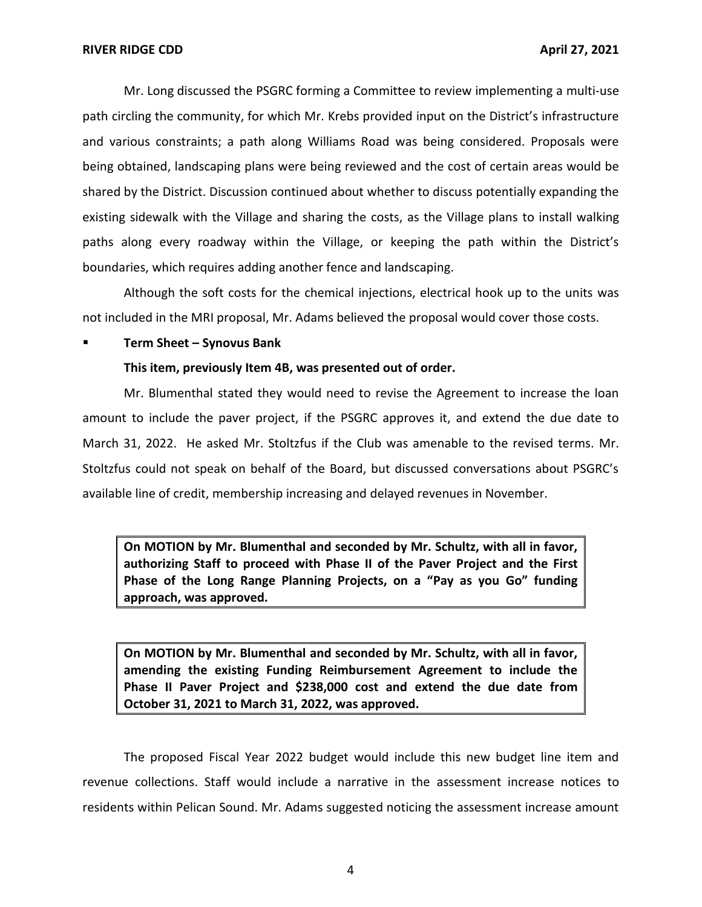Mr. Long discussed the PSGRC forming a Committee to review implementing a multi-use path circling the community, for which Mr. Krebs provided input on the District's infrastructure being obtained, landscaping plans were being reviewed and the cost of certain areas would be existing sidewalk with the Village and sharing the costs, as the Village plans to install walking paths along every roadway within the Village, or keeping the path within the District's boundaries, which requires adding another fence and landscaping. and various constraints; a path along Williams Road was being considered. Proposals were shared by the District. Discussion continued about whether to discuss potentially expanding the

 Although the soft costs for the chemical injections, electrical hook up to the units was not included in the MRI proposal, Mr. Adams believed the proposal would cover those costs.

## ▪ **Term Sheet – Synovus Bank**

## **This item, previously Item 4B, was presented out of order.**

 Mr. Blumenthal stated they would need to revise the Agreement to increase the loan amount to include the paver project, if the PSGRC approves it, and extend the due date to March 31, 2022. He asked Mr. Stoltzfus if the Club was amenable to the revised terms. Mr. Stoltzfus could not speak on behalf of the Board, but discussed conversations about PSGRC's available line of credit, membership increasing and delayed revenues in November.

 **On MOTION by Mr. Blumenthal and seconded by Mr. Schultz, with all in favor, authorizing Staff to proceed with Phase II of the Paver Project and the First Phase of the Long Range Planning Projects, on a "Pay as you Go" funding approach, was approved.** 

 **On MOTION by Mr. Blumenthal and seconded by Mr. Schultz, with all in favor, amending the existing Funding Reimbursement Agreement to include the Phase II Paver Project and \$238,000 cost and extend the due date from October 31, 2021 to March 31, 2022, was approved.** 

 The proposed Fiscal Year 2022 budget would include this new budget line item and revenue collections. Staff would include a narrative in the assessment increase notices to residents within Pelican Sound. Mr. Adams suggested noticing the assessment increase amount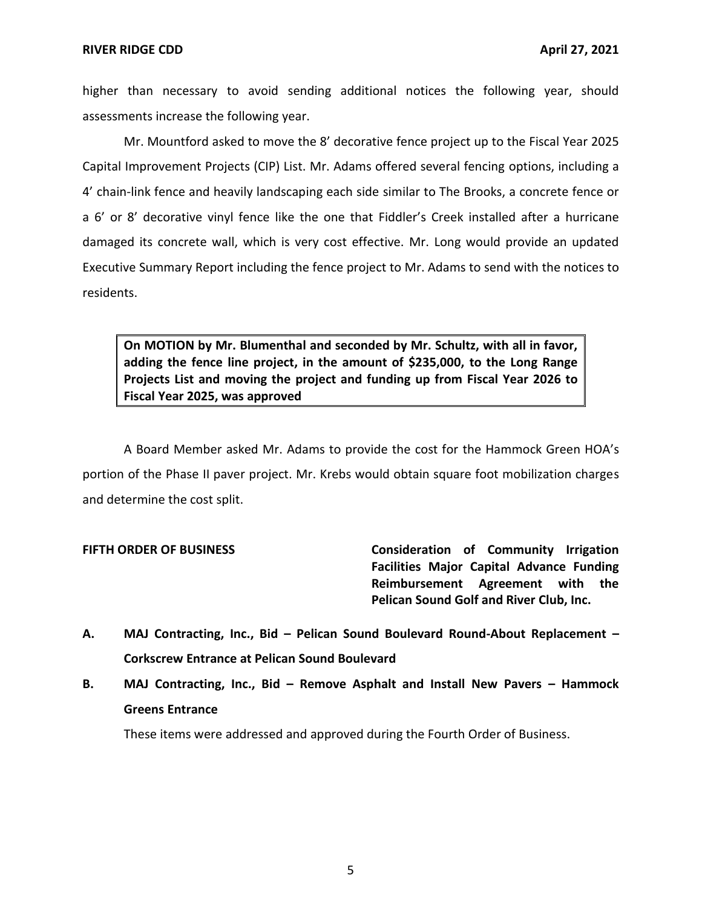higher than necessary to avoid sending additional notices the following year, should assessments increase the following year.

 4' chain-link fence and heavily landscaping each side similar to The Brooks, a concrete fence or a 6' or 8' decorative vinyl fence like the one that Fiddler's Creek installed after a hurricane damaged its concrete wall, which is very cost effective. Mr. Long would provide an updated Executive Summary Report including the fence project to Mr. Adams to send with the notices to Mr. Mountford asked to move the 8' decorative fence project up to the Fiscal Year 2025 Capital Improvement Projects (CIP) List. Mr. Adams offered several fencing options, including a residents.

 **On MOTION by Mr. Blumenthal and seconded by Mr. Schultz, with all in favor, adding the fence line project, in the amount of \$235,000, to the Long Range Projects List and moving the project and funding up from Fiscal Year 2026 to Fiscal Year 2025, was approved** 

 A Board Member asked Mr. Adams to provide the cost for the Hammock Green HOA's portion of the Phase II paver project. Mr. Krebs would obtain square foot mobilization charges and determine the cost split.

 **FIFTH ORDER OF BUSINESS Consideration of Community Irrigation Facilities Major Capital Advance Funding Reimbursement Agreement with the Pelican Sound Golf and River Club, Inc.** 

- **A. MAJ Contracting, Inc., Bid – Pelican Sound Boulevard Round-About Replacement – Corkscrew Entrance at Pelican Sound Boulevard**
- **B. MAJ Contracting, Inc., Bid – Remove Asphalt and Install New Pavers – Hammock Greens Entrance**

These items were addressed and approved during the Fourth Order of Business.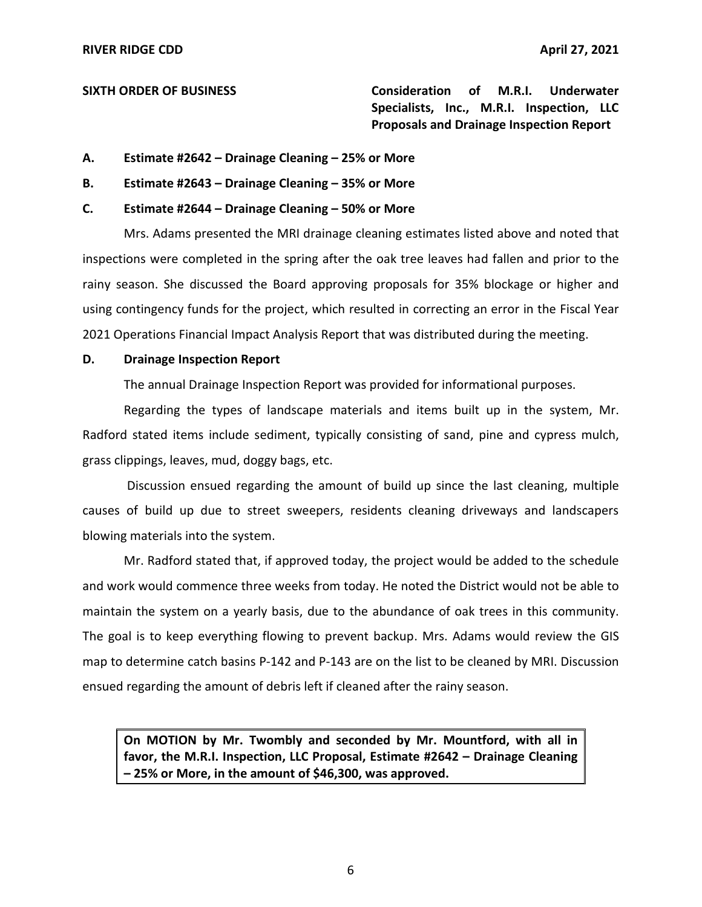**SIXTH ORDER OF BUSINESS Consideration of M.R.I. Underwater Specialists, Inc., M.R.I. Inspection, LLC Proposals and Drainage Inspection Report** 

- **A. Estimate #2642 – Drainage Cleaning – 25% or More**
- **B. Estimate #2643 – Drainage Cleaning – 35% or More**

## **C. Estimate #2644 – Drainage Cleaning – 50% or More**

 Mrs. Adams presented the MRI drainage cleaning estimates listed above and noted that inspections were completed in the spring after the oak tree leaves had fallen and prior to the using contingency funds for the project, which resulted in correcting an error in the Fiscal Year 2021 Operations Financial Impact Analysis Report that was distributed during the meeting. rainy season. She discussed the Board approving proposals for 35% blockage or higher and

## **D. Drainage Inspection Report**

The annual Drainage Inspection Report was provided for informational purposes.

 Regarding the types of landscape materials and items built up in the system, Mr. Radford stated items include sediment, typically consisting of sand, pine and cypress mulch, grass clippings, leaves, mud, doggy bags, etc.

 Discussion ensued regarding the amount of build up since the last cleaning, multiple causes of build up due to street sweepers, residents cleaning driveways and landscapers blowing materials into the system.

 Mr. Radford stated that, if approved today, the project would be added to the schedule and work would commence three weeks from today. He noted the District would not be able to maintain the system on a yearly basis, due to the abundance of oak trees in this community. The goal is to keep everything flowing to prevent backup. Mrs. Adams would review the GIS map to determine catch basins P-142 and P-143 are on the list to be cleaned by MRI. Discussion ensued regarding the amount of debris left if cleaned after the rainy season.

 **On MOTION by Mr. Twombly and seconded by Mr. Mountford, with all in favor, the M.R.I. Inspection, LLC Proposal, Estimate #2642 – Drainage Cleaning – 25% or More, in the amount of \$46,300, was approved.**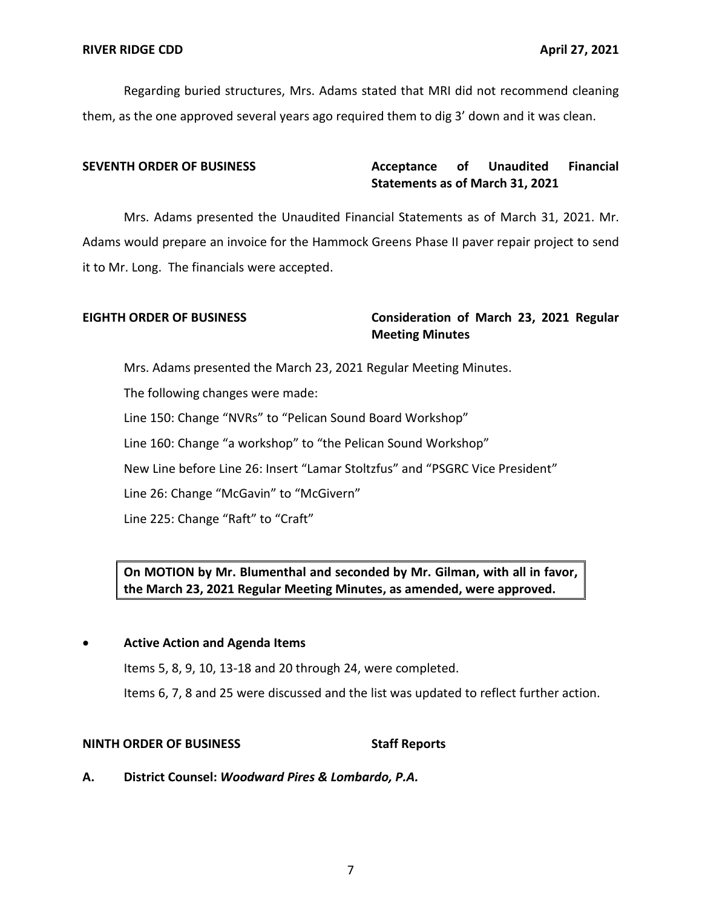Regarding buried structures, Mrs. Adams stated that MRI did not recommend cleaning them, as the one approved several years ago required them to dig 3' down and it was clean.

## **Acceptance Statements as of March 31, 2021 SEVENTH ORDER OF BUSINESS Acceptance of Unaudited Financial**

 Mrs. Adams presented the Unaudited Financial Statements as of March 31, 2021. Mr. Adams would prepare an invoice for the Hammock Greens Phase II paver repair project to send it to Mr. Long. The financials were accepted.

# **EIGHTH ORDER OF BUSINESS Consideration of March 23, 2021 Regular Meeting Minutes**

Mrs. Adams presented the March 23, 2021 Regular Meeting Minutes.

The following changes were made:

Line 150: Change "NVRs" to "Pelican Sound Board Workshop"

Line 160: Change "a workshop" to "the Pelican Sound Workshop"

New Line before Line 26: Insert "Lamar Stoltzfus" and "PSGRC Vice President"

Line 26: Change "McGavin" to "McGivern"

Line 225: Change "Raft" to "Craft"

# **On MOTION by Mr. Blumenthal and seconded by Mr. Gilman, with all in favor, the March 23, 2021 Regular Meeting Minutes, as amended, were approved.**

# • **Active Action and Agenda Items**

Items 5, 8, 9, 10, 13-18 and 20 through 24, were completed.

Items 6, 7, 8 and 25 were discussed and the list was updated to reflect further action.

## **NINTH ORDER OF BUSINESS** Staff Reports

 **A. District Counsel:** *Woodward Pires & Lombardo, P.A.*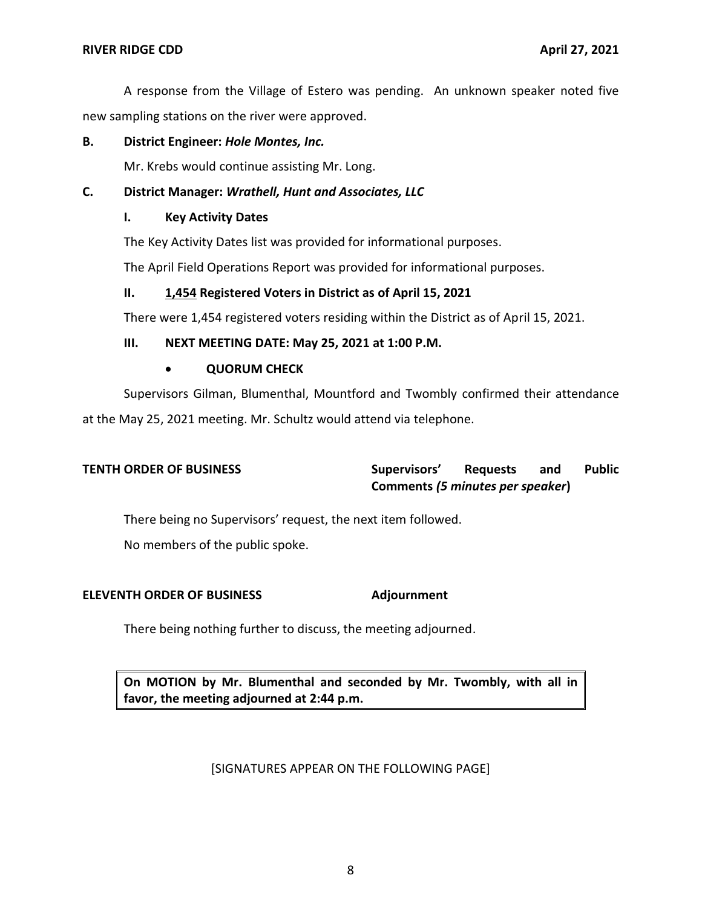A response from the Village of Estero was pending. An unknown speaker noted five new sampling stations on the river were approved.

## **B. District Engineer:** *Hole Montes, Inc.*

Mr. Krebs would continue assisting Mr. Long.

# **C. District Manager:** *Wrathell, Hunt and Associates, LLC*

## **I. Key Activity Dates**

The Key Activity Dates list was provided for informational purposes.

The April Field Operations Report was provided for informational purposes.

# **II. 1,454 Registered Voters in District as of April 15, 2021**

There were 1,454 registered voters residing within the District as of April 15, 2021.

# **III. NEXT MEETING DATE: May 25, 2021 at 1:00 P.M.**

## • **QUORUM CHECK**

 Supervisors Gilman, Blumenthal, Mountford and Twombly confirmed their attendance at the May 25, 2021 meeting. Mr. Schultz would attend via telephone.

## and  **Comments** *(5 minutes per speaker***) TENTH ORDER OF BUSINESS Supervisors' Requests and Public**

There being no Supervisors' request, the next item followed.

No members of the public spoke.

# **ELEVENTH ORDER OF BUSINESS Adjournment**

There being nothing further to discuss, the meeting adjourned.

 **On MOTION by Mr. Blumenthal and seconded by Mr. Twombly, with all in favor, the meeting adjourned at 2:44 p.m.** 

# [SIGNATURES APPEAR ON THE FOLLOWING PAGE]